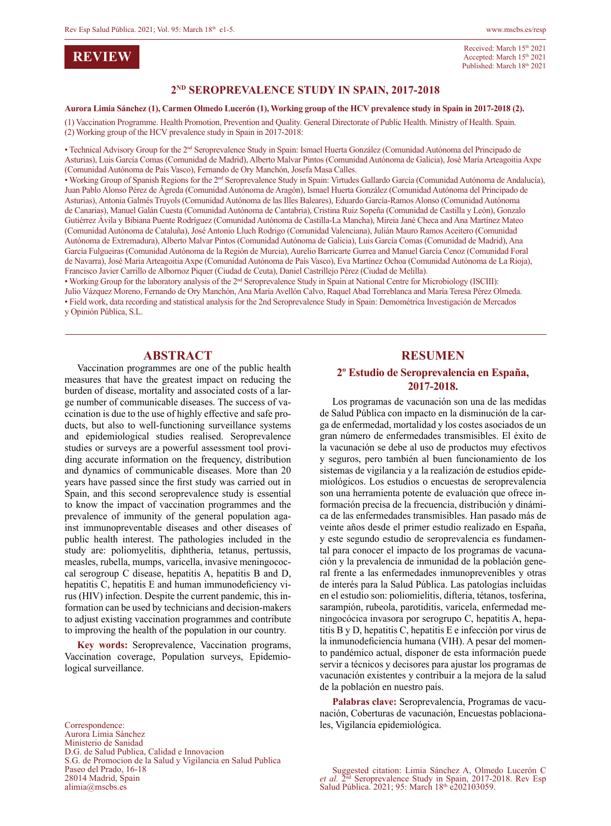### **REVIEW**

Received: March 15<sup>th</sup> 2021 Accepted: March 15th 2021 Published: March 18th 2021

#### **2ND SEROPREVALENCE STUDY IN SPAIN, 2017-2018**

#### **Aurora Limia Sánchez (1), Carmen Olmedo Lucerón (1), Working group of the HCV prevalence study in Spain in 2017-2018 (2).**

(1) Vaccination Programme. Health Promotion, Prevention and Quality. General Directorate of Public Health. Ministry of Health. Spain. (2) Working group of the HCV prevalence study in Spain in 2017-2018:

• Technical Advisory Group for the 2nd Seroprevalence Study in Spain: Ismael Huerta González (Comunidad Autónoma del Principado de Asturias), Luis García Comas (Comunidad de Madrid), Alberto Malvar Pintos (Comunidad Autónoma de Galicia), José María Arteagoitia Axpe (Comunidad Autónoma de País Vasco), Fernando de Ory Manchón, Josefa Masa Calles.

• Working Group of Spanish Regions for the 2nd Seroprevalence Study in Spain: Virtudes Gallardo García (Comunidad Autónoma de Andalucía), Juan Pablo Alonso Pérez de Ágreda (Comunidad Autónoma de Aragón), Ismael Huerta González (Comunidad Autónoma del Principado de Asturias), Antonia Galmés Truyols (Comunidad Autónoma de las Illes Baleares), Eduardo García-Ramos Alonso (Comunidad Autónoma de Canarias), Manuel Galán Cuesta (Comunidad Autónoma de Cantabria), Cristina Ruiz Sopeña (Comunidad de Castilla y León), Gonzalo Gutiérrez Ávila y Bibiana Puente Rodríguez (Comunidad Autónoma de Castilla-La Mancha), Mireia Jané Checa and Ana Martínez Mateo (Comunidad Autónoma de Cataluña), José Antonio Lluch Rodrigo (Comunidad Valenciana), Julián Mauro Ramos Aceitero (Comunidad Autónoma de Extremadura), Alberto Malvar Pintos (Comunidad Autónoma de Galicia), Luis García Comas (Comunidad de Madrid), Ana García Fulgueiras (Comunidad Autónoma de la Región de Murcia), Aurelio Barricarte Gurrea and Manuel García Cenoz (Comunidad Foral de Navarra), José Maria Arteagoitia Axpe (Comunidad Autónoma de País Vasco), Eva Martínez Ochoa (Comunidad Autónoma de La Rioja), Francisco Javier Carrillo de Albornoz Piquer (Ciudad de Ceuta), Daniel Castrillejo Pérez (Ciudad de Melilla).

• Working Group for the laboratory analysis of the 2<sup>nd</sup> Seroprevalence Study in Spain at National Centre for Microbiology (ISCIII):

Julio Vázquez Moreno, Fernando de Ory Manchón, Ana María Avellón Calvo, Raquel Abad Torreblanca and María Teresa Pérez Olmeda. • Field work, data recording and statistical analysis for the 2nd Seroprevalence Study in Spain: Demométrica Investigación de Mercados y Opinión Pública, S.L.

#### **ABSTRACT**

Vaccination programmes are one of the public health measures that have the greatest impact on reducing the burden of disease, mortality and associated costs of a large number of communicable diseases. The success of vaccination is due to the use of highly effective and safe products, but also to well-functioning surveillance systems and epidemiological studies realised. Seroprevalence studies or surveys are a powerful assessment tool providing accurate information on the frequency, distribution and dynamics of communicable diseases. More than 20 years have passed since the first study was carried out in Spain, and this second seroprevalence study is essential to know the impact of vaccination programmes and the prevalence of immunity of the general population against immunopreventable diseases and other diseases of public health interest. The pathologies included in the study are: poliomyelitis, diphtheria, tetanus, pertussis, measles, rubella, mumps, varicella, invasive meningococcal serogroup C disease, hepatitis A, hepatitis B and D, hepatitis C, hepatitis E and human immunodeficiency virus (HIV) infection. Despite the current pandemic, this information can be used by technicians and decision-makers to adjust existing vaccination programmes and contribute to improving the health of the population in our country.

**Key words:** Seroprevalence, Vaccination programs, Vaccination coverage, Population surveys, Epidemiological surveillance.

Correspondence: Aurora Limia Sánchez Ministerio de Sanidad D.G. de Salud Publica, Calidad e Innovacion S.G. de Promocion de la Salud y Vigilancia en Salud Publica Paseo del Prado, 16-18 28014 Madrid, Spain alimia@mscbs.es

#### **RESUMEN**

#### **2º Estudio de Seroprevalencia en España, 2017-2018.**

Los programas de vacunación son una de las medidas de Salud Pública con impacto en la disminución de la carga de enfermedad, mortalidad y los costes asociados de un gran número de enfermedades transmisibles. El éxito de la vacunación se debe al uso de productos muy efectivos y seguros, pero también al buen funcionamiento de los sistemas de vigilancia y a la realización de estudios epidemiológicos. Los estudios o encuestas de seroprevalencia son una herramienta potente de evaluación que ofrece información precisa de la frecuencia, distribución y dinámica de las enfermedades transmisibles. Han pasado más de veinte años desde el primer estudio realizado en España, y este segundo estudio de seroprevalencia es fundamental para conocer el impacto de los programas de vacunación y la prevalencia de inmunidad de la población general frente a las enfermedades inmunoprevenibles y otras de interés para la Salud Pública. Las patologías incluidas en el estudio son: poliomielitis, difteria, tétanos, tosferina, sarampión, rubeola, parotiditis, varicela, enfermedad meningocócica invasora por serogrupo C, hepatitis A, hepatitis B y D, hepatitis C, hepatitis E e infección por virus de la inmunodeficiencia humana (VIH). A pesar del momento pandémico actual, disponer de esta información puede servir a técnicos y decisores para ajustar los programas de vacunación existentes y contribuir a la mejora de la salud de la población en nuestro país.

**Palabras clave:** Seroprevalencia, Programas de vacunación, Coberturas de vacunación, Encuestas poblacionales, Vigilancia epidemiológica.

Suggested citation: Limia Sánchez A, Olmedo Lucerón C *et al.* 2nd Seroprevalence Study in Spain, 2017-2018. Rev Esp Salud Pública. 2021; 95: March 18th e202103059.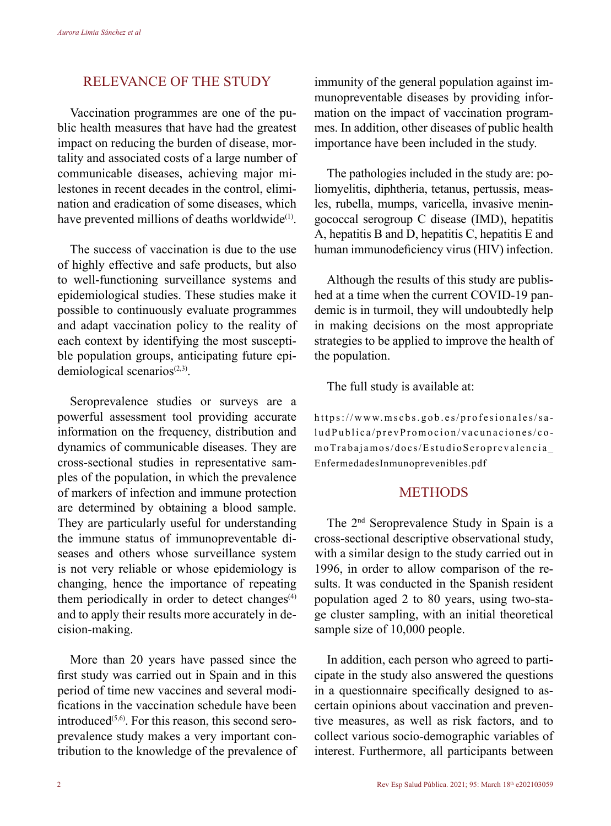# RELEVANCE OF THE STUDY

Vaccination programmes are one of the public health measures that have had the greatest impact on reducing the burden of disease, mortality and associated costs of a large number of communicable diseases, achieving major milestones in recent decades in the control, elimination and eradication of some diseases, which have prevented millions of deaths worldwide<sup>(1)</sup>.

The success of vaccination is due to the use of highly effective and safe products, but also to well-functioning surveillance systems and epidemiological studies. These studies make it possible to continuously evaluate programmes and adapt vaccination policy to the reality of each context by identifying the most susceptible population groups, anticipating future epidemiological scenarios $(2,3)$ .

Seroprevalence studies or surveys are a powerful assessment tool providing accurate information on the frequency, distribution and dynamics of communicable diseases. They are cross-sectional studies in representative samples of the population, in which the prevalence of markers of infection and immune protection are determined by obtaining a blood sample. They are particularly useful for understanding the immune status of immunopreventable diseases and others whose surveillance system is not very reliable or whose epidemiology is changing, hence the importance of repeating them periodically in order to detect changes $(4)$ and to apply their results more accurately in decision-making.

More than 20 years have passed since the first study was carried out in Spain and in this period of time new vaccines and several modifications in the vaccination schedule have been introduced $(5,6)$ . For this reason, this second seroprevalence study makes a very important contribution to the knowledge of the prevalence of

immunity of the general population against immunopreventable diseases by providing information on the impact of vaccination programmes. In addition, other diseases of public health importance have been included in the study.

The pathologies included in the study are: poliomyelitis, diphtheria, tetanus, pertussis, measles, rubella, mumps, varicella, invasive meningococcal serogroup C disease (IMD), hepatitis A, hepatitis B and D, hepatitis C, hepatitis E and human immunodeficiency virus (HIV) infection.

Although the results of this study are published at a time when the current COVID-19 pandemic is in turmoil, they will undoubtedly help in making decisions on the most appropriate strategies to be applied to improve the health of the population.

The full study is available at:

https://www.mscbs.gob.es/profesionales/sa ludPublica/prevPromocion/vacunaciones/co moTrabajamos/docs/EstudioSeroprevalencia\_ EnfermedadesInmunoprevenibles.pdf

## **METHODS**

The 2nd Seroprevalence Study in Spain is a cross-sectional descriptive observational study, with a similar design to the study carried out in 1996, in order to allow comparison of the results. It was conducted in the Spanish resident population aged 2 to 80 years, using two-stage cluster sampling, with an initial theoretical sample size of 10,000 people.

In addition, each person who agreed to participate in the study also answered the questions in a questionnaire specifically designed to ascertain opinions about vaccination and preventive measures, as well as risk factors, and to collect various socio-demographic variables of interest. Furthermore, all participants between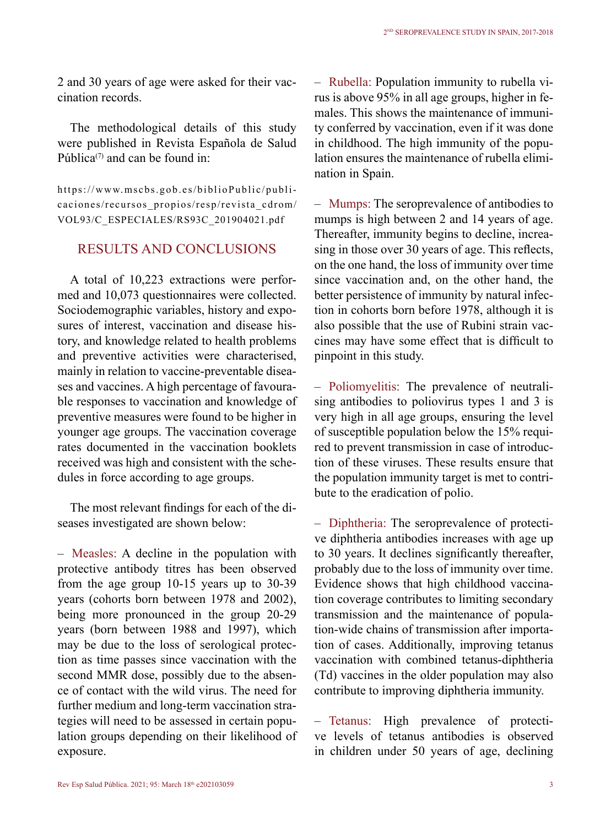2 and 30 years of age were asked for their vaccination records.

The methodological details of this study were published in Revista Española de Salud Pública $(7)$  and can be found in:

https://www.mscbs.gob.es/biblioPublic/publicaciones/recursos\_propios/resp/revista\_cdrom/ VOL93/C\_ESPECIALES/RS93C\_201904021.pdf

# RESULTS AND CONCLUSIONS

A total of 10,223 extractions were performed and 10,073 questionnaires were collected. Sociodemographic variables, history and exposures of interest, vaccination and disease history, and knowledge related to health problems and preventive activities were characterised, mainly in relation to vaccine-preventable diseases and vaccines. A high percentage of favourable responses to vaccination and knowledge of preventive measures were found to be higher in younger age groups. The vaccination coverage rates documented in the vaccination booklets received was high and consistent with the schedules in force according to age groups.

The most relevant findings for each of the diseases investigated are shown below:

– Measles: A decline in the population with protective antibody titres has been observed from the age group 10-15 years up to 30-39 years (cohorts born between 1978 and 2002), being more pronounced in the group 20-29 years (born between 1988 and 1997), which may be due to the loss of serological protection as time passes since vaccination with the second MMR dose, possibly due to the absence of contact with the wild virus. The need for further medium and long-term vaccination strategies will need to be assessed in certain population groups depending on their likelihood of exposure.

– Rubella: Population immunity to rubella virus is above 95% in all age groups, higher in females. This shows the maintenance of immunity conferred by vaccination, even if it was done in childhood. The high immunity of the population ensures the maintenance of rubella elimination in Spain.

– Mumps: The seroprevalence of antibodies to mumps is high between 2 and 14 years of age. Thereafter, immunity begins to decline, increasing in those over 30 years of age. This reflects, on the one hand, the loss of immunity over time since vaccination and, on the other hand, the better persistence of immunity by natural infection in cohorts born before 1978, although it is also possible that the use of Rubini strain vaccines may have some effect that is difficult to pinpoint in this study.

– Poliomyelitis: The prevalence of neutralising antibodies to poliovirus types 1 and 3 is very high in all age groups, ensuring the level of susceptible population below the 15% required to prevent transmission in case of introduction of these viruses. These results ensure that the population immunity target is met to contribute to the eradication of polio.

– Diphtheria: The seroprevalence of protective diphtheria antibodies increases with age up to 30 years. It declines significantly thereafter, probably due to the loss of immunity over time. Evidence shows that high childhood vaccination coverage contributes to limiting secondary transmission and the maintenance of population-wide chains of transmission after importation of cases. Additionally, improving tetanus vaccination with combined tetanus-diphtheria (Td) vaccines in the older population may also contribute to improving diphtheria immunity.

– Tetanus: High prevalence of protective levels of tetanus antibodies is observed in children under 50 years of age, declining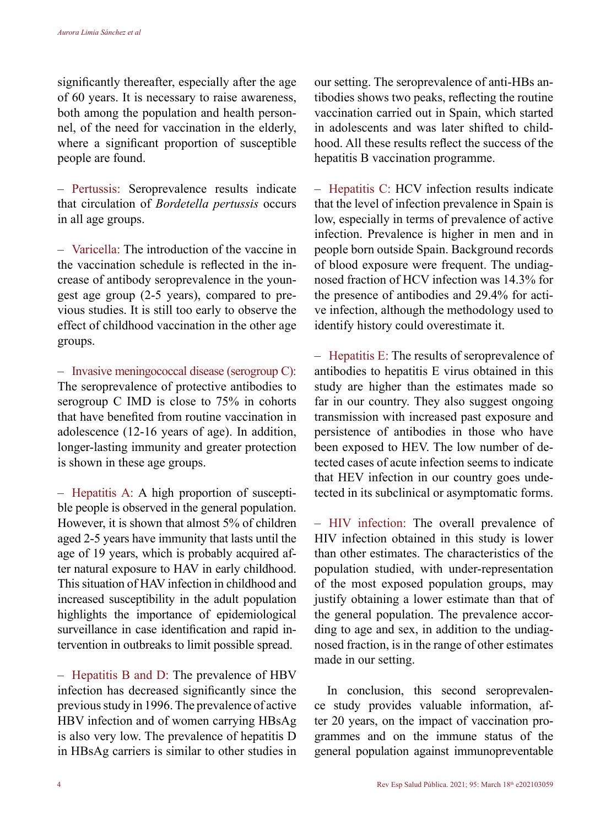significantly thereafter, especially after the age of 60 years. It is necessary to raise awareness, both among the population and health personnel, of the need for vaccination in the elderly, where a significant proportion of susceptible people are found.

– Pertussis: Seroprevalence results indicate that circulation of *Bordetella pertussis* occurs in all age groups.

– Varicella: The introduction of the vaccine in the vaccination schedule is reflected in the increase of antibody seroprevalence in the youngest age group (2-5 years), compared to previous studies. It is still too early to observe the effect of childhood vaccination in the other age groups.

– Invasive meningococcal disease (serogroup C): The seroprevalence of protective antibodies to serogroup C IMD is close to 75% in cohorts that have benefited from routine vaccination in adolescence (12-16 years of age). In addition, longer-lasting immunity and greater protection is shown in these age groups.

– Hepatitis A: A high proportion of susceptible people is observed in the general population. However, it is shown that almost 5% of children aged 2-5 years have immunity that lasts until the age of 19 years, which is probably acquired after natural exposure to HAV in early childhood. This situation of HAV infection in childhood and increased susceptibility in the adult population highlights the importance of epidemiological surveillance in case identification and rapid intervention in outbreaks to limit possible spread.

– Hepatitis B and D: The prevalence of HBV infection has decreased significantly since the previous study in 1996. The prevalence of active HBV infection and of women carrying HBsAg is also very low. The prevalence of hepatitis D in HBsAg carriers is similar to other studies in our setting. The seroprevalence of anti-HBs antibodies shows two peaks, reflecting the routine vaccination carried out in Spain, which started in adolescents and was later shifted to childhood. All these results reflect the success of the hepatitis B vaccination programme.

– Hepatitis C: HCV infection results indicate that the level of infection prevalence in Spain is low, especially in terms of prevalence of active infection. Prevalence is higher in men and in people born outside Spain. Background records of blood exposure were frequent. The undiagnosed fraction of HCV infection was 14.3% for the presence of antibodies and 29.4% for active infection, although the methodology used to identify history could overestimate it.

– Hepatitis E: The results of seroprevalence of antibodies to hepatitis E virus obtained in this study are higher than the estimates made so far in our country. They also suggest ongoing transmission with increased past exposure and persistence of antibodies in those who have been exposed to HEV. The low number of detected cases of acute infection seems to indicate that HEV infection in our country goes undetected in its subclinical or asymptomatic forms.

– HIV infection: The overall prevalence of HIV infection obtained in this study is lower than other estimates. The characteristics of the population studied, with under-representation of the most exposed population groups, may justify obtaining a lower estimate than that of the general population. The prevalence according to age and sex, in addition to the undiagnosed fraction, is in the range of other estimates made in our setting.

In conclusion, this second seroprevalence study provides valuable information, after 20 years, on the impact of vaccination programmes and on the immune status of the general population against immunopreventable